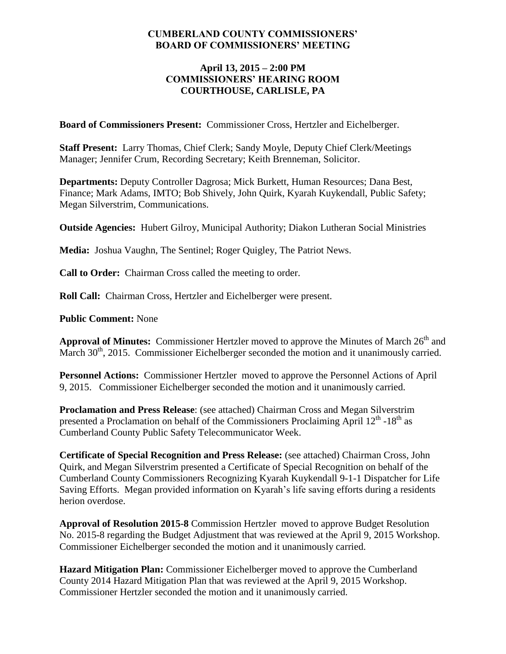### **CUMBERLAND COUNTY COMMISSIONERS' BOARD OF COMMISSIONERS' MEETING**

### **April 13, 2015 – 2:00 PM COMMISSIONERS' HEARING ROOM COURTHOUSE, CARLISLE, PA**

**Board of Commissioners Present:** Commissioner Cross, Hertzler and Eichelberger.

**Staff Present:** Larry Thomas, Chief Clerk; Sandy Moyle, Deputy Chief Clerk/Meetings Manager; Jennifer Crum, Recording Secretary; Keith Brenneman, Solicitor.

**Departments:** Deputy Controller Dagrosa; Mick Burkett, Human Resources; Dana Best, Finance; Mark Adams, IMTO; Bob Shively, John Quirk, Kyarah Kuykendall, Public Safety; Megan Silverstrim, Communications.

**Outside Agencies:** Hubert Gilroy, Municipal Authority; Diakon Lutheran Social Ministries

**Media:** Joshua Vaughn, The Sentinel; Roger Quigley, The Patriot News.

**Call to Order:** Chairman Cross called the meeting to order.

**Roll Call:** Chairman Cross, Hertzler and Eichelberger were present.

**Public Comment:** None

Approval of Minutes: Commissioner Hertzler moved to approve the Minutes of March 26<sup>th</sup> and March 30<sup>th</sup>, 2015. Commissioner Eichelberger seconded the motion and it unanimously carried.

**Personnel Actions:** Commissioner Hertzler moved to approve the Personnel Actions of April 9, 2015. Commissioner Eichelberger seconded the motion and it unanimously carried.

**Proclamation and Press Release**: (see attached) Chairman Cross and Megan Silverstrim presented a Proclamation on behalf of the Commissioners Proclaiming April  $12^{th}$  -18<sup>th</sup> as Cumberland County Public Safety Telecommunicator Week.

**Certificate of Special Recognition and Press Release:** (see attached) Chairman Cross, John Quirk, and Megan Silverstrim presented a Certificate of Special Recognition on behalf of the Cumberland County Commissioners Recognizing Kyarah Kuykendall 9-1-1 Dispatcher for Life Saving Efforts. Megan provided information on Kyarah's life saving efforts during a residents herion overdose.

**Approval of Resolution 2015-8** Commission Hertzler moved to approve Budget Resolution No. 2015-8 regarding the Budget Adjustment that was reviewed at the April 9, 2015 Workshop. Commissioner Eichelberger seconded the motion and it unanimously carried.

**Hazard Mitigation Plan:** Commissioner Eichelberger moved to approve the Cumberland County 2014 Hazard Mitigation Plan that was reviewed at the April 9, 2015 Workshop. Commissioner Hertzler seconded the motion and it unanimously carried.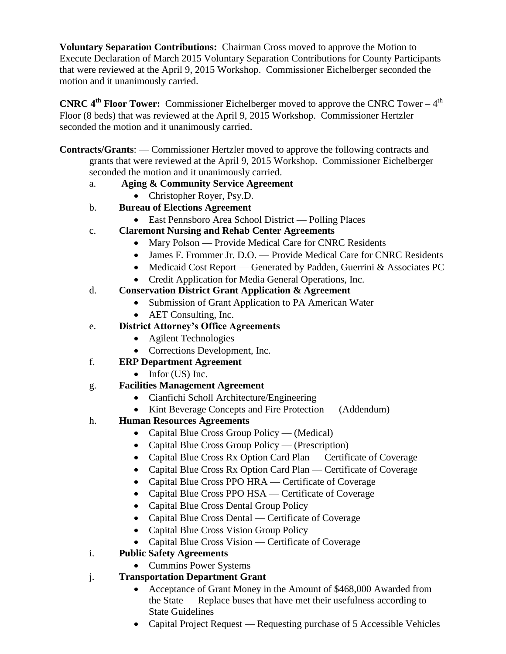**Voluntary Separation Contributions:** Chairman Cross moved to approve the Motion to Execute Declaration of March 2015 Voluntary Separation Contributions for County Participants that were reviewed at the April 9, 2015 Workshop. Commissioner Eichelberger seconded the motion and it unanimously carried.

**CNRC 4<sup>th</sup> Floor Tower:** Commissioner Eichelberger moved to approve the CNRC Tower – 4<sup>th</sup> Floor (8 beds) that was reviewed at the April 9, 2015 Workshop. Commissioner Hertzler seconded the motion and it unanimously carried.

**Contracts/Grants**: — Commissioner Hertzler moved to approve the following contracts and grants that were reviewed at the April 9, 2015 Workshop. Commissioner Eichelberger seconded the motion and it unanimously carried.

### a. **Aging & Community Service Agreement**

- Christopher Royer, Psy.D.
- b. **Bureau of Elections Agreement**
	- East Pennsboro Area School District Polling Places
- c. **Claremont Nursing and Rehab Center Agreements**
	- Mary Polson Provide Medical Care for CNRC Residents
	- James F. Frommer Jr. D.O. Provide Medical Care for CNRC Residents
	- Medicaid Cost Report Generated by Padden, Guerrini & Associates PC
	- Credit Application for Media General Operations, Inc.

## d. **Conservation District Grant Application & Agreement**

- Submission of Grant Application to PA American Water
- AET Consulting, Inc.
- e. **District Attorney's Office Agreements**
	- Agilent Technologies
	- Corrections Development, Inc.
- f. **ERP Department Agreement**
	- $\bullet$  Infor (US) Inc.
- g. **Facilities Management Agreement**
	- Cianfichi Scholl Architecture/Engineering
	- Kint Beverage Concepts and Fire Protection (Addendum)
- h. **Human Resources Agreements**
	- Capital Blue Cross Group Policy (Medical)
	- Capital Blue Cross Group Policy (Prescription)
	- Capital Blue Cross Rx Option Card Plan Certificate of Coverage
	- Capital Blue Cross Rx Option Card Plan Certificate of Coverage
	- Capital Blue Cross PPO HRA Certificate of Coverage
	- Capital Blue Cross PPO HSA Certificate of Coverage
	- Capital Blue Cross Dental Group Policy
	- Capital Blue Cross Dental Certificate of Coverage
	- Capital Blue Cross Vision Group Policy
	- Capital Blue Cross Vision Certificate of Coverage

# i. **Public Safety Agreements**

- Cummins Power Systems
- j. **Transportation Department Grant**
	- Acceptance of Grant Money in the Amount of \$468,000 Awarded from the State — Replace buses that have met their usefulness according to State Guidelines
	- Capital Project Request Requesting purchase of 5 Accessible Vehicles